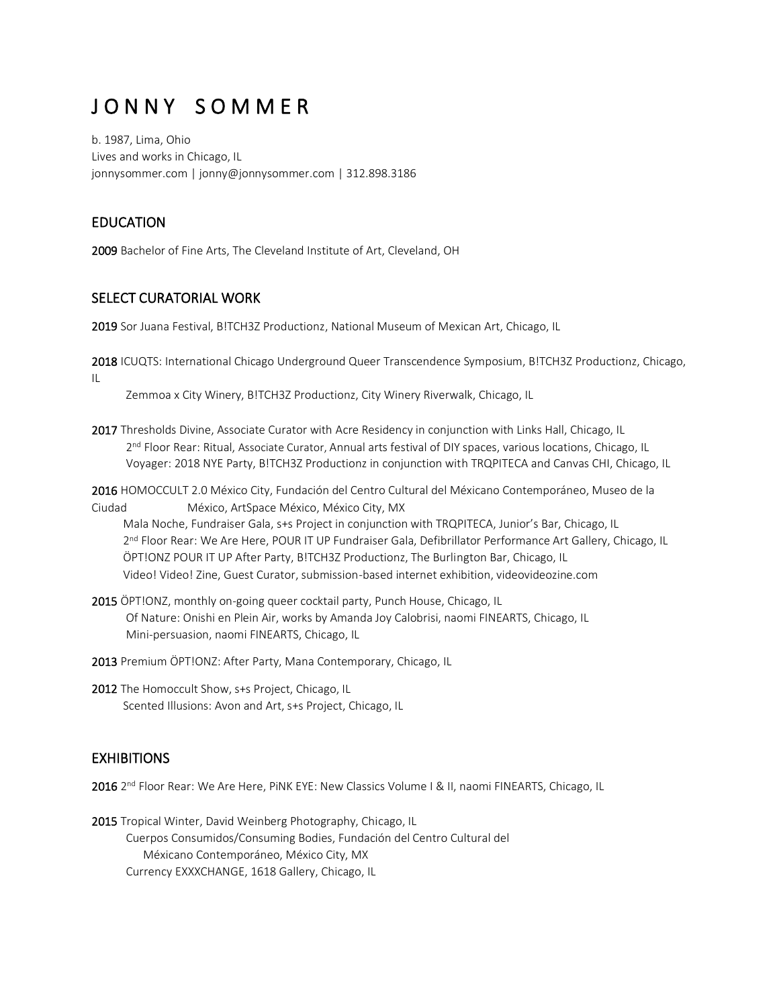# J O N N Y S O M M E R

b. 1987, Lima, Ohio Lives and works in Chicago, IL jonnysommer.com | jonny@jonnysommer.com | 312.898.3186

## EDUCATION

2009 Bachelor of Fine Arts, The Cleveland Institute of Art, Cleveland, OH

#### SELECT CURATORIAL WORK

2019 Sor Juana Festival, B!TCH3Z Productionz, National Museum of Mexican Art, Chicago, IL

2018 ICUQTS: International Chicago Underground Queer Transcendence Symposium, B!TCH3Z Productionz, Chicago, IL

Zemmoa x City Winery, B!TCH3Z Productionz, City Winery Riverwalk, Chicago, IL

2017 Thresholds Divine, Associate Curator with Acre Residency in conjunction with Links Hall, Chicago, IL 2<sup>nd</sup> Floor Rear: Ritual, Associate Curator, Annual arts festival of DIY spaces, various locations, Chicago, IL Voyager: 2018 NYE Party, B!TCH3Z Productionz in conjunction with TRQPITECA and Canvas CHI, Chicago, IL

2016 HOMOCCULT 2.0 México City, Fundación del Centro Cultural del Méxicano Contemporáneo, Museo de la Ciudad México, ArtSpace México, México City, MX

 Mala Noche, Fundraiser Gala, s+s Project in conjunction with TRQPITECA, Junior's Bar, Chicago, IL 2<sup>nd</sup> Floor Rear: We Are Here, POUR IT UP Fundraiser Gala, Defibrillator Performance Art Gallery, Chicago, IL ÖPT!ONZ POUR IT UP After Party, B!TCH3Z Productionz, The Burlington Bar, Chicago, IL Video! Video! Zine, Guest Curator, submission-based internet exhibition, videovideozine.com

- 2015 ÖPT!ONZ, monthly on-going queer cocktail party, Punch House, Chicago, IL Of Nature: Onishi en Plein Air, works by Amanda Joy Calobrisi, naomi FINEARTS, Chicago, IL Mini-persuasion, naomi FINEARTS, Chicago, IL
- 2013 Premium ÖPT!ONZ: After Party, Mana Contemporary, Chicago, IL
- 2012 The Homoccult Show, s+s Project, Chicago, IL Scented Illusions: Avon and Art, s+s Project, Chicago, IL

### **EXHIBITIONS**

2016 2<sup>nd</sup> Floor Rear: We Are Here, PiNK EYE: New Classics Volume I & II, naomi FINEARTS, Chicago, IL

2015 Tropical Winter, David Weinberg Photography, Chicago, IL Cuerpos Consumidos/Consuming Bodies, Fundación del Centro Cultural del Méxicano Contemporáneo, México City, MX Currency EXXXCHANGE, 1618 Gallery, Chicago, IL